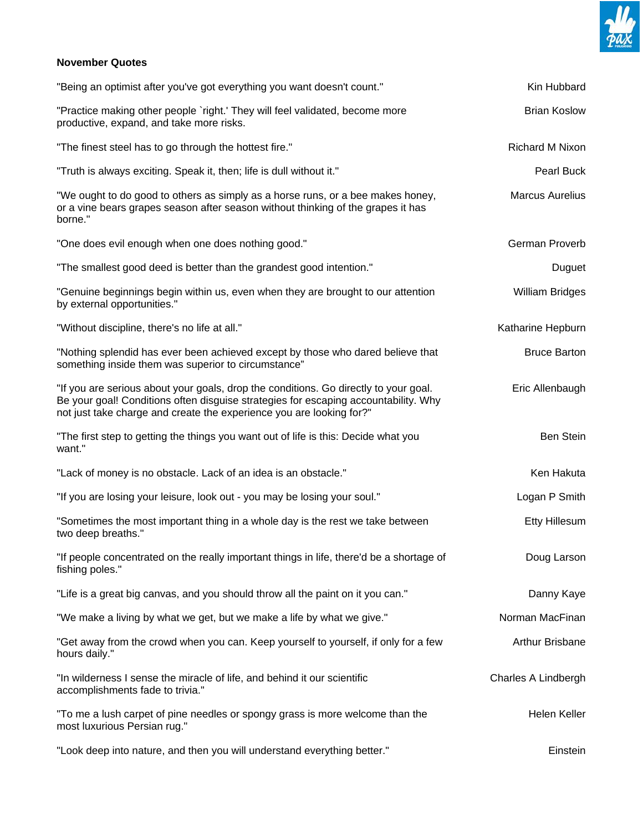

## **November Quotes**

| "Being an optimist after you've got everything you want doesn't count."                                                                                                                                                                             | Kin Hubbard            |
|-----------------------------------------------------------------------------------------------------------------------------------------------------------------------------------------------------------------------------------------------------|------------------------|
| "Practice making other people `right.' They will feel validated, become more<br>productive, expand, and take more risks.                                                                                                                            | <b>Brian Koslow</b>    |
| "The finest steel has to go through the hottest fire."                                                                                                                                                                                              | Richard M Nixon        |
| "Truth is always exciting. Speak it, then; life is dull without it."                                                                                                                                                                                | Pearl Buck             |
| "We ought to do good to others as simply as a horse runs, or a bee makes honey,<br>or a vine bears grapes season after season without thinking of the grapes it has<br>borne."                                                                      | <b>Marcus Aurelius</b> |
| "One does evil enough when one does nothing good."                                                                                                                                                                                                  | German Proverb         |
| "The smallest good deed is better than the grandest good intention."                                                                                                                                                                                | Duguet                 |
| "Genuine beginnings begin within us, even when they are brought to our attention<br>by external opportunities."                                                                                                                                     | <b>William Bridges</b> |
| "Without discipline, there's no life at all."                                                                                                                                                                                                       | Katharine Hepburn      |
| "Nothing splendid has ever been achieved except by those who dared believe that<br>something inside them was superior to circumstance"                                                                                                              | <b>Bruce Barton</b>    |
| "If you are serious about your goals, drop the conditions. Go directly to your goal.<br>Be your goal! Conditions often disguise strategies for escaping accountability. Why<br>not just take charge and create the experience you are looking for?" | Eric Allenbaugh        |
| "The first step to getting the things you want out of life is this: Decide what you<br>want."                                                                                                                                                       | Ben Stein              |
| "Lack of money is no obstacle. Lack of an idea is an obstacle."                                                                                                                                                                                     | Ken Hakuta             |
| "If you are losing your leisure, look out - you may be losing your soul."                                                                                                                                                                           | Logan P Smith          |
| "Sometimes the most important thing in a whole day is the rest we take between<br>two deep breaths."                                                                                                                                                | Etty Hillesum          |
| "If people concentrated on the really important things in life, there'd be a shortage of<br>fishing poles."                                                                                                                                         | Doug Larson            |
| "Life is a great big canvas, and you should throw all the paint on it you can."                                                                                                                                                                     | Danny Kaye             |
| "We make a living by what we get, but we make a life by what we give."                                                                                                                                                                              | Norman MacFinan        |
| "Get away from the crowd when you can. Keep yourself to yourself, if only for a few<br>hours daily."                                                                                                                                                | Arthur Brisbane        |
| "In wilderness I sense the miracle of life, and behind it our scientific<br>accomplishments fade to trivia."                                                                                                                                        | Charles A Lindbergh    |
| "To me a lush carpet of pine needles or spongy grass is more welcome than the<br>most luxurious Persian rug."                                                                                                                                       | Helen Keller           |
| "Look deep into nature, and then you will understand everything better."                                                                                                                                                                            | Einstein               |